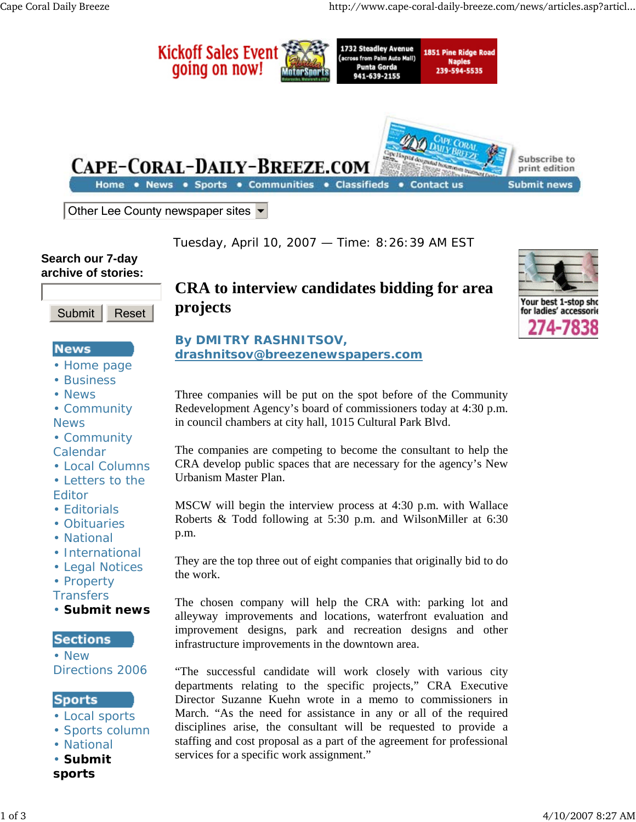

Tuesday, April 10, 2007 — Time: 8:26:39 AM EST

# **Search our 7-day archive of stories:**



# **News**

- Home page
- Business
- News

• Community News

- Community Calendar
- Local Columns
- Letters to the Editor
- Editorials
- Obituaries
- National
- International
- Legal Notices
- Property
- **Transfers**
- **Submit news**

#### **Sections**

• New Directions 2006

#### **Sports**

- Local sports
- Sports column
- National
- **Submit sports**

# **CRA to interview candidates bidding for area projects**



# **By DMITRY RASHNITSOV, drashnitsov@breezenewspapers.com**

Three companies will be put on the spot before of the Community Redevelopment Agency's board of commissioners today at 4:30 p.m. in council chambers at city hall, 1015 Cultural Park Blvd.

The companies are competing to become the consultant to help the CRA develop public spaces that are necessary for the agency's New Urbanism Master Plan.

MSCW will begin the interview process at 4:30 p.m. with Wallace Roberts & Todd following at 5:30 p.m. and WilsonMiller at 6:30 p.m.

They are the top three out of eight companies that originally bid to do the work.

The chosen company will help the CRA with: parking lot and alleyway improvements and locations, waterfront evaluation and improvement designs, park and recreation designs and other infrastructure improvements in the downtown area.

"The successful candidate will work closely with various city departments relating to the specific projects," CRA Executive Director Suzanne Kuehn wrote in a memo to commissioners in March. "As the need for assistance in any or all of the required disciplines arise, the consultant will be requested to provide a staffing and cost proposal as a part of the agreement for professional services for a specific work assignment."